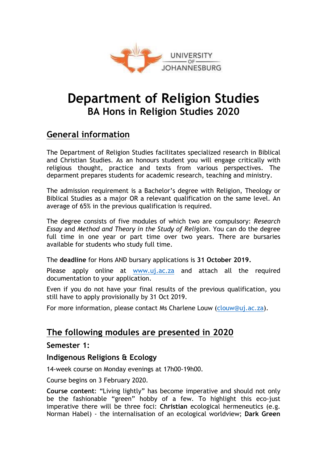

# **Department of Religion Studies BA Hons in Religion Studies 2020**

# **General information**

The Department of Religion Studies facilitates specialized research in Biblical and Christian Studies. As an honours student you will engage critically with religious thought, practice and texts from various perspectives. The deparment prepares students for academic research, teaching and ministry.

The admission requirement is a Bachelor's degree with Religion, Theology or Biblical Studies as a major OR a relevant qualification on the same level. An average of 65% in the previous qualification is required.

The degree consists of five modules of which two are compulsory: *Research Essay* and *Method and Theory in the Study of Religion*. You can do the degree full time in one year or part time over two years. There are bursaries available for students who study full time.

The **deadline** for Hons AND bursary applications is **31 October 2019.**

Please apply online at www.uj.ac.za and attach all the required documentation to your application.

Even if you do not have your final results of the previous qualification, you still have to apply provisionally by 31 Oct 2019.

For more information, please contact Ms Charlene Louw (clouw@uj.ac.za).

### **The following modules are presented in 2020**

#### **Semester 1:**

#### **Indigenous Religions & Ecology**

14-week course on Monday evenings at 17h00-19h00.

Course begins on 3 February 2020.

**Course content**: "Living lightly" has become imperative and should not only be the fashionable "green" hobby of a few. To highlight this eco-just imperative there will be three foci: **Christian** ecological hermeneutics (e.g. Norman Habel) - the internalisation of an ecological worldview; **Dark Green**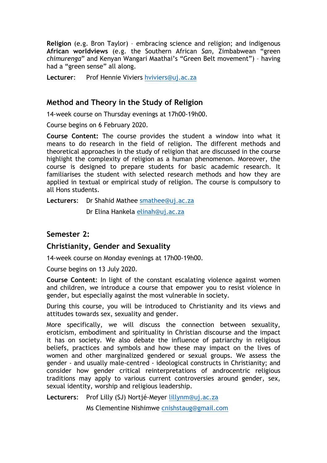**Religion** (e.g. Bron Taylor) – embracing science and religion; and indigenous **African worldviews** (e.g. the Southern African *San,* Zimbabwean "green *chimurenga*" and Kenyan Wangari Maathai's "Green Belt movement") – having had a "green sense" all along.

**Lecturer**: Prof Hennie Viviers hviviers@uj.ac.za

#### **Method and Theory in the Study of Religion**

14-week course on Thursday evenings at 17h00-19h00.

Course begins on 6 February 2020.

**Course Content:** The course provides the student a window into what it means to do research in the field of religion. The different methods and theoretical approaches in the study of religion that are discussed in the course highlight the complexity of religion as a human phenomenon. Moreover, the course is designed to prepare students for basic academic research. It familiarises the student with selected research methods and how they are applied in textual or empirical study of religion. The course is compulsory to all Hons students.

**Lecturers**: Dr Shahid Mathee smathee@uj.ac.za

Dr Elina Hankela elinah@uj.ac.za

#### **Semester 2:**

#### **Christianity, Gender and Sexuality**

14-week course on Monday evenings at 17h00-19h00.

Course begins on 13 July 2020.

**Course Content**: In light of the constant escalating violence against women and children, we introduce a course that empower you to resist violence in gender, but especially against the most vulnerable in society.

During this course, you will be introduced to Christianity and its views and attitudes towards sex, sexuality and gender.

More specifically, we will discuss the connection between sexuality, eroticism, embodiment and spirituality in Christian discourse and the impact it has on society. We also debate the influence of patriarchy in religious beliefs, practices and symbols and how these may impact on the lives of women and other marginalized gendered or sexual groups. We assess the gender - and usually male-centred - ideological constructs in Christianity; and consider how gender critical reinterpretations of androcentric religious traditions may apply to various current controversies around gender, sex, sexual identity, worship and religious leadership.

**Lecturers**: Prof Lilly (SJ) Nortjé-Meyer lillynm@uj.ac.za

Ms Clementine Nishimwe cnishstaug@gmail.com